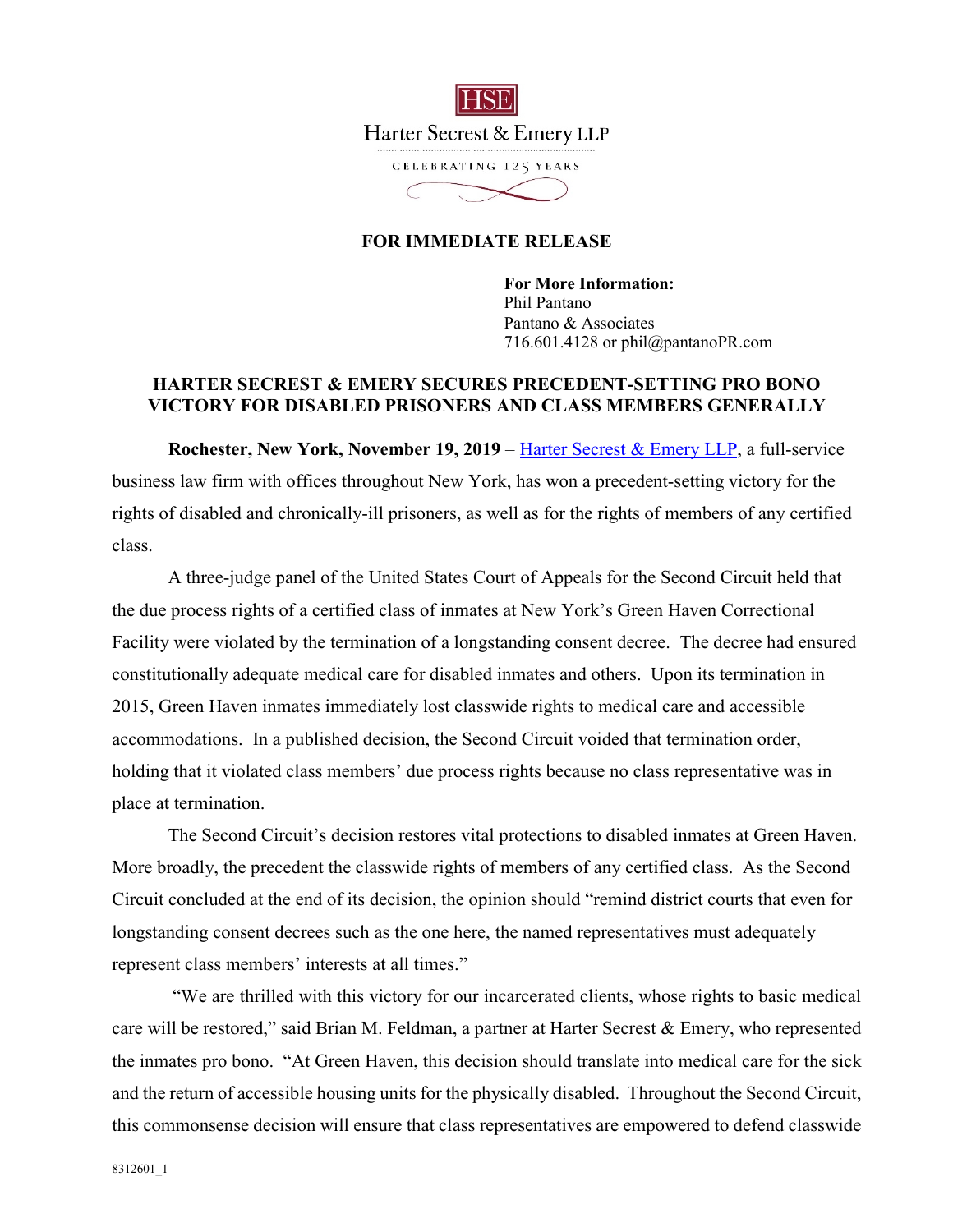

## **FOR IMMEDIATE RELEASE**

**For More Information:**  Phil Pantano Pantano & Associates 716.601.4128 or phil@pantanoPR.com

## **HARTER SECREST & EMERY SECURES PRECEDENT-SETTING PRO BONO VICTORY FOR DISABLED PRISONERS AND CLASS MEMBERS GENERALLY**

**Rochester, New York, November 19, 2019** – *Harter Secrest & Emery LLP*, a full-service business law firm with offices throughout New York, has won a precedent-setting victory for the rights of disabled and chronically-ill prisoners, as well as for the rights of members of any certified class.

A three-judge panel of the United States Court of Appeals for the Second Circuit held that the due process rights of a certified class of inmates at New York's Green Haven Correctional Facility were violated by the termination of a longstanding consent decree. The decree had ensured constitutionally adequate medical care for disabled inmates and others. Upon its termination in 2015, Green Haven inmates immediately lost classwide rights to medical care and accessible accommodations. In a published decision, the Second Circuit voided that termination order, holding that it violated class members' due process rights because no class representative was in place at termination.

The Second Circuit's decision restores vital protections to disabled inmates at Green Haven. More broadly, the precedent the classwide rights of members of any certified class. As the Second Circuit concluded at the end of its decision, the opinion should "remind district courts that even for longstanding consent decrees such as the one here, the named representatives must adequately represent class members' interests at all times."

 "We are thrilled with this victory for our incarcerated clients, whose rights to basic medical care will be restored," said Brian M. Feldman, a partner at Harter Secrest & Emery, who represented the inmates pro bono. "At Green Haven, this decision should translate into medical care for the sick and the return of accessible housing units for the physically disabled. Throughout the Second Circuit, this commonsense decision will ensure that class representatives are empowered to defend classwide